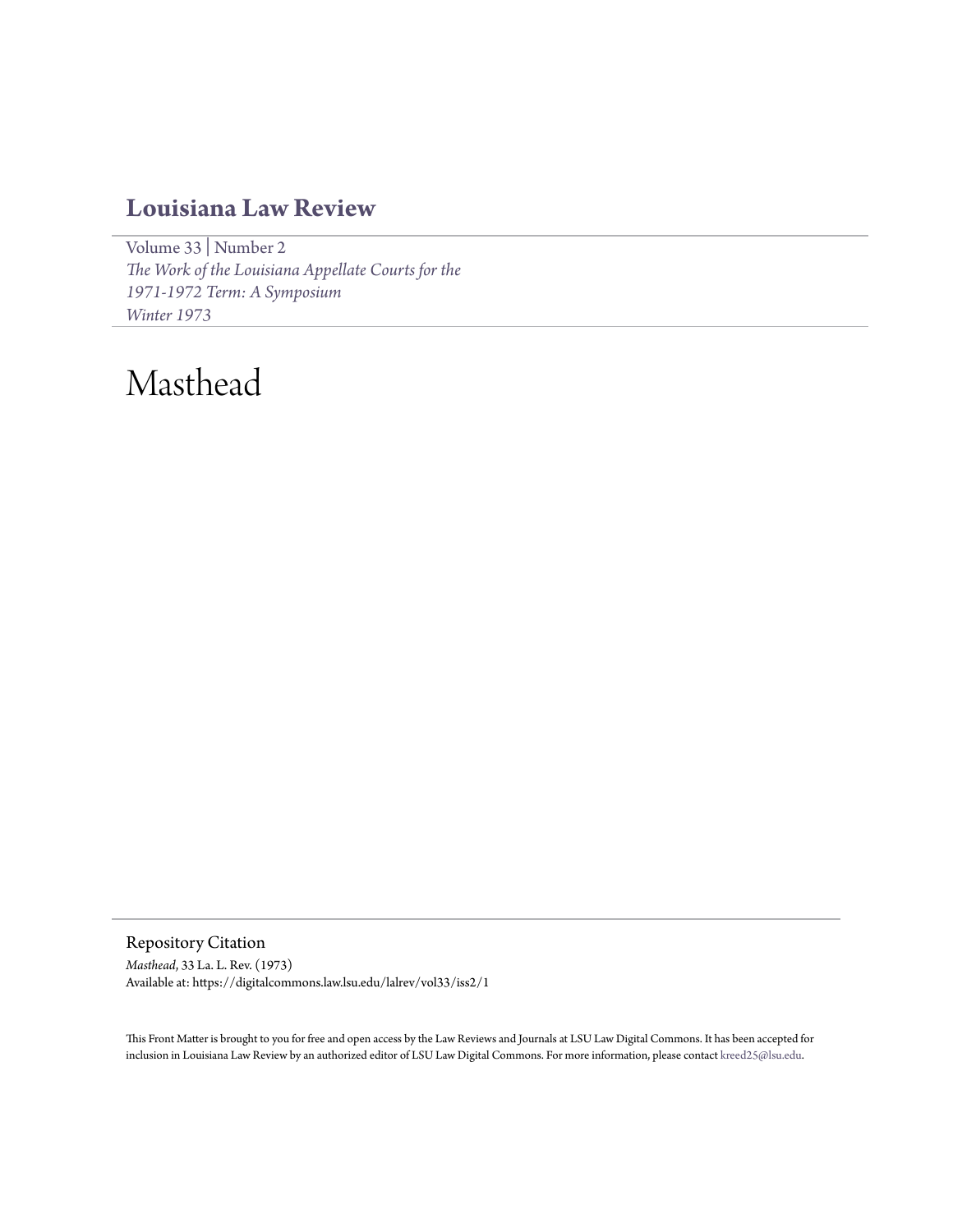### **[Louisiana Law Review](https://digitalcommons.law.lsu.edu/lalrev)**

[Volume 33](https://digitalcommons.law.lsu.edu/lalrev/vol33) | [Number 2](https://digitalcommons.law.lsu.edu/lalrev/vol33/iss2) *[The Work of the Louisiana Appellate Courts for the](https://digitalcommons.law.lsu.edu/lalrev/vol33/iss2) [1971-1972 Term: A Symposium](https://digitalcommons.law.lsu.edu/lalrev/vol33/iss2) [Winter 1973](https://digitalcommons.law.lsu.edu/lalrev/vol33/iss2)*

## Masthead

Repository Citation *Masthead*, 33 La. L. Rev. (1973) Available at: https://digitalcommons.law.lsu.edu/lalrev/vol33/iss2/1

This Front Matter is brought to you for free and open access by the Law Reviews and Journals at LSU Law Digital Commons. It has been accepted for inclusion in Louisiana Law Review by an authorized editor of LSU Law Digital Commons. For more information, please contact [kreed25@lsu.edu](mailto:kreed25@lsu.edu).